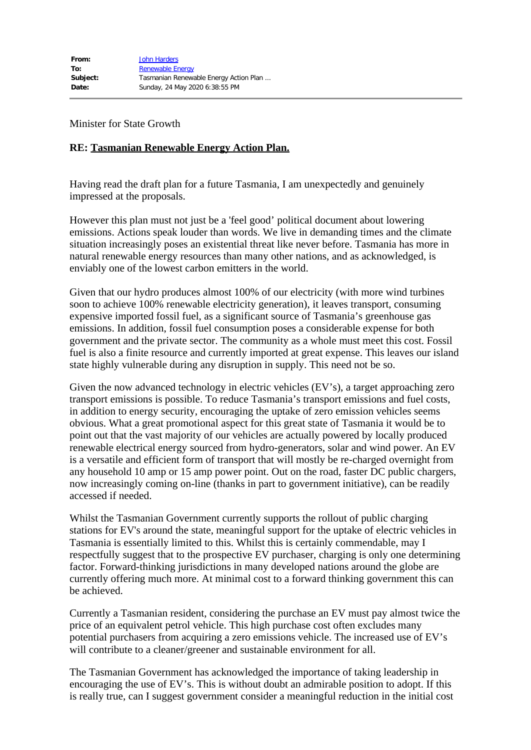Minister for State Growth

## **RE: Tasmanian Renewable Energy Action Plan.**

Having read the draft plan for a future Tasmania, I am unexpectedly and genuinely impressed at the proposals.

However this plan must not just be a 'feel good' political document about lowering emissions. Actions speak louder than words. We live in demanding times and the climate situation increasingly poses an existential threat like never before. Tasmania has more in natural renewable energy resources than many other nations, and as acknowledged, is enviably one of the lowest carbon emitters in the world.

Given that our hydro produces almost 100% of our electricity (with more wind turbines soon to achieve 100% renewable electricity generation), it leaves transport, consuming expensive imported fossil fuel, as a significant source of Tasmania's greenhouse gas emissions. In addition, fossil fuel consumption poses a considerable expense for both government and the private sector. The community as a whole must meet this cost. Fossil fuel is also a finite resource and currently imported at great expense. This leaves our island state highly vulnerable during any disruption in supply. This need not be so.

Given the now advanced technology in electric vehicles (EV's), a target approaching zero transport emissions is possible. To reduce Tasmania's transport emissions and fuel costs, in addition to energy security, encouraging the uptake of zero emission vehicles seems obvious. What a great promotional aspect for this great state of Tasmania it would be to point out that the vast majority of our vehicles are actually powered by locally produced renewable electrical energy sourced from hydro-generators, solar and wind power. An EV is a versatile and efficient form of transport that will mostly be re-charged overnight from any household 10 amp or 15 amp power point. Out on the road, faster DC public chargers, now increasingly coming on-line (thanks in part to government initiative), can be readily accessed if needed.

Whilst the Tasmanian Government currently supports the rollout of public charging stations for EV's around the state, meaningful support for the uptake of electric vehicles in Tasmania is essentially limited to this. Whilst this is certainly commendable, may I respectfully suggest that to the prospective EV purchaser, charging is only one determining factor. Forward-thinking jurisdictions in many developed nations around the globe are currently offering much more. At minimal cost to a forward thinking government this can be achieved.

Currently a Tasmanian resident, considering the purchase an EV must pay almost twice the price of an equivalent petrol vehicle. This high purchase cost often excludes many potential purchasers from acquiring a zero emissions vehicle. The increased use of EV's will contribute to a cleaner/greener and sustainable environment for all.

The Tasmanian Government has acknowledged the importance of taking leadership in encouraging the use of EV's. This is without doubt an admirable position to adopt. If this is really true, can I suggest government consider a meaningful reduction in the initial cost